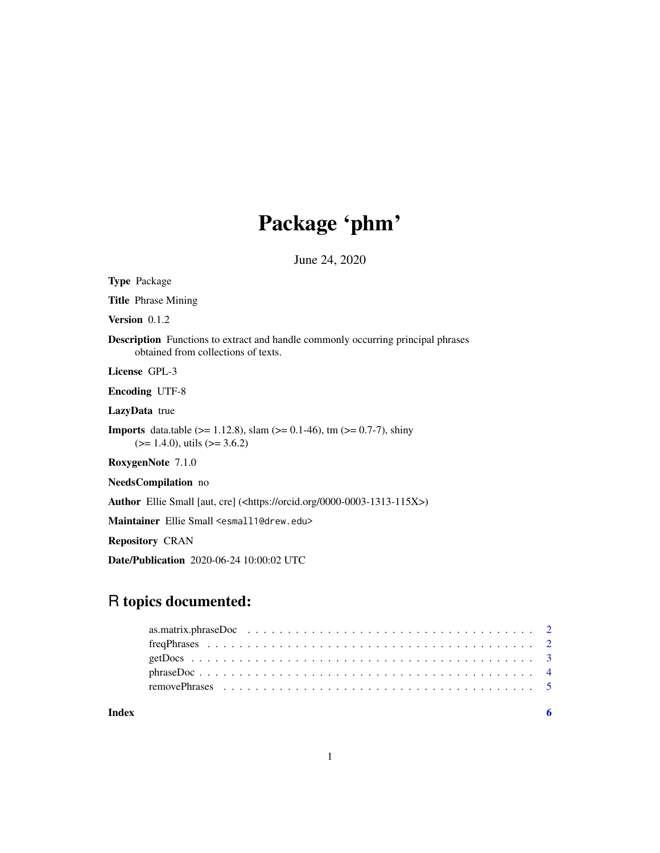## Package 'phm'

June 24, 2020

| <b>Type</b> Package                                                                                                               |
|-----------------------------------------------------------------------------------------------------------------------------------|
| <b>Title</b> Phrase Mining                                                                                                        |
| <b>Version</b> $0.1.2$                                                                                                            |
| <b>Description</b> Functions to extract and handle commonly occurring principal phrases<br>obtained from collections of texts.    |
| License GPL-3                                                                                                                     |
| <b>Encoding UTF-8</b>                                                                                                             |
| <b>LazyData</b> true                                                                                                              |
| <b>Imports</b> data.table ( $> = 1.12.8$ ), slam ( $> = 0.1-46$ ), tm ( $> = 0.7-7$ ), shiny<br>$(>= 1.4.0)$ , utils $(>= 3.6.2)$ |
| <b>RoxygenNote</b> 7.1.0                                                                                                          |
| <b>NeedsCompilation</b> no                                                                                                        |
| <b>Author</b> Ellie Small [aut, cre] ( <https: 0000-0003-1313-115x="" orcid.org="">)</https:>                                     |
| Maintainer Ellie Small <esmall1@drew.edu></esmall1@drew.edu>                                                                      |
| <b>Repository CRAN</b>                                                                                                            |

Date/Publication 2020-06-24 10:00:02 UTC

### R topics documented:

| Index |  |
|-------|--|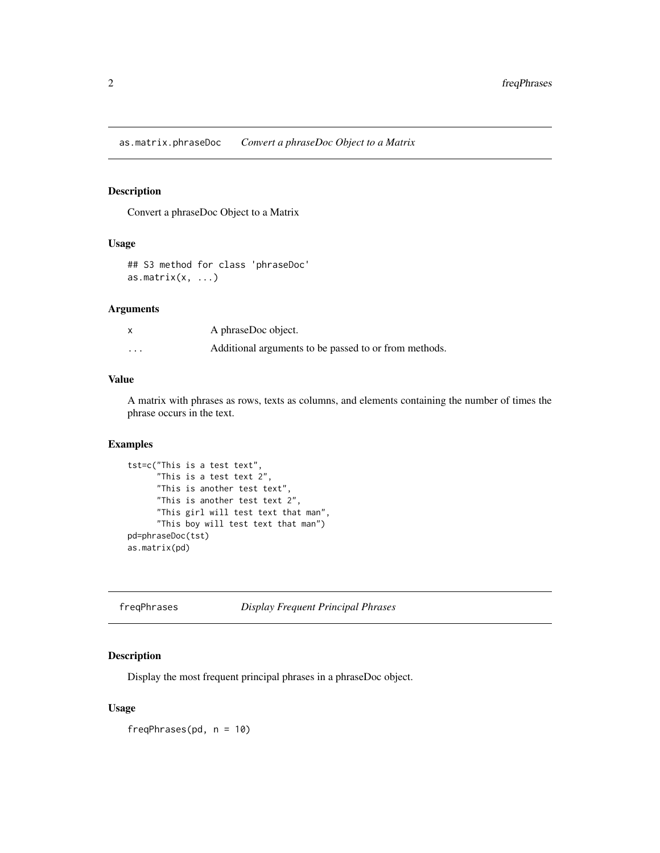<span id="page-1-0"></span>as.matrix.phraseDoc *Convert a phraseDoc Object to a Matrix*

#### Description

Convert a phraseDoc Object to a Matrix

#### Usage

## S3 method for class 'phraseDoc' as.matrix $(x, \ldots)$ 

#### Arguments

|                         | A phraseDoc object.                                   |
|-------------------------|-------------------------------------------------------|
| $\cdot$ $\cdot$ $\cdot$ | Additional arguments to be passed to or from methods. |

### Value

A matrix with phrases as rows, texts as columns, and elements containing the number of times the phrase occurs in the text.

#### Examples

```
tst=c("This is a test text",
     "This is a test text 2",
     "This is another test text",
     "This is another test text 2",
     "This girl will test text that man",
     "This boy will test text that man")
pd=phraseDoc(tst)
as.matrix(pd)
```
freqPhrases *Display Frequent Principal Phrases*

#### Description

Display the most frequent principal phrases in a phraseDoc object.

#### Usage

freqPhrases(pd, n = 10)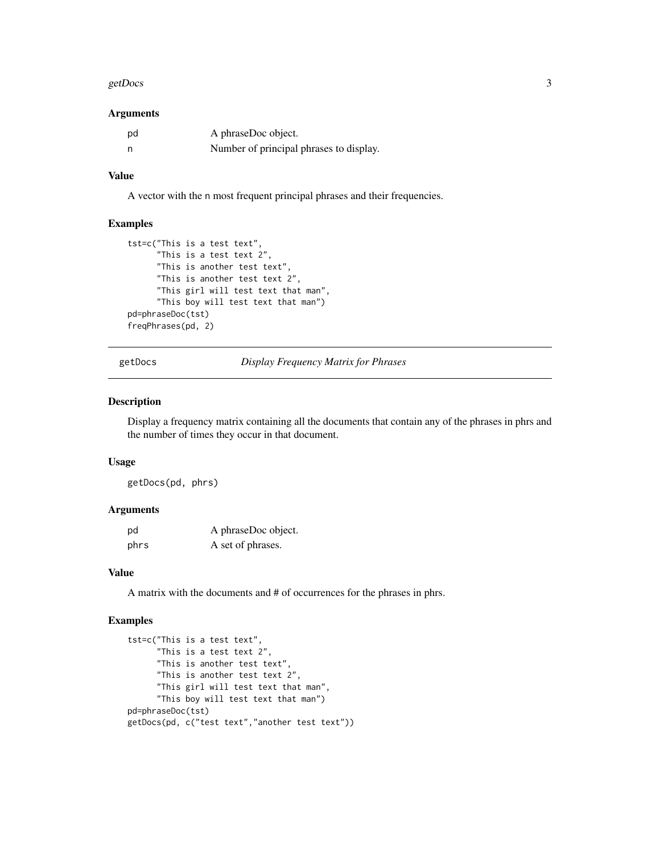#### <span id="page-2-0"></span>getDocs 3

#### Arguments

| pd | A phraseDoc object.                     |
|----|-----------------------------------------|
|    | Number of principal phrases to display. |

#### Value

A vector with the n most frequent principal phrases and their frequencies.

#### Examples

```
tst=c("This is a test text",
      "This is a test text 2",
      "This is another test text",
      "This is another test text 2",
      "This girl will test text that man",
      "This boy will test text that man")
pd=phraseDoc(tst)
freqPhrases(pd, 2)
```
getDocs *Display Frequency Matrix for Phrases*

#### Description

Display a frequency matrix containing all the documents that contain any of the phrases in phrs and the number of times they occur in that document.

#### Usage

getDocs(pd, phrs)

#### Arguments

| pd   | A phraseDoc object. |
|------|---------------------|
| phrs | A set of phrases.   |

#### Value

A matrix with the documents and # of occurrences for the phrases in phrs.

#### Examples

```
tst=c("This is a test text",
      "This is a test text 2",
     "This is another test text",
      "This is another test text 2",
      "This girl will test text that man",
      "This boy will test text that man")
pd=phraseDoc(tst)
getDocs(pd, c("test text","another test text"))
```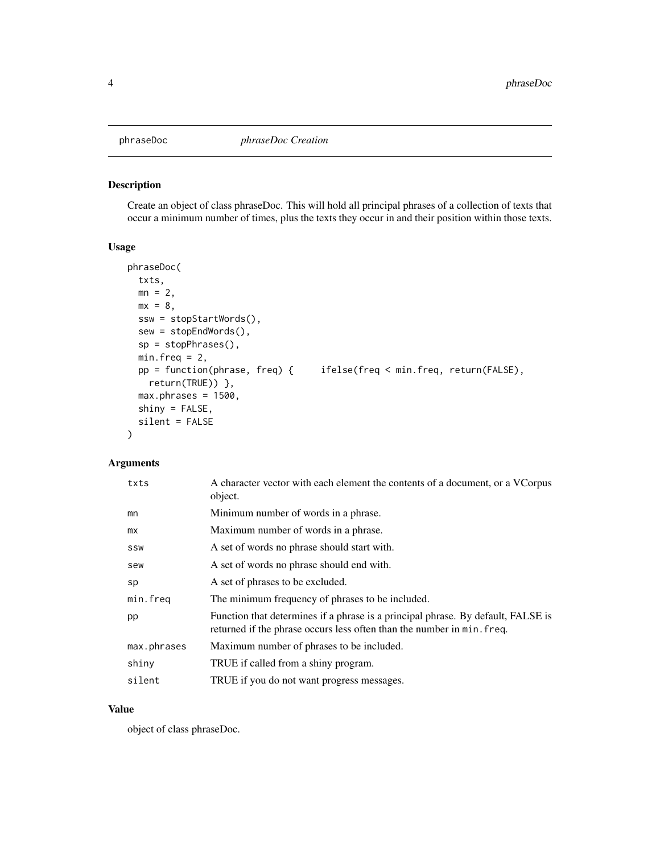<span id="page-3-0"></span>

#### Description

Create an object of class phraseDoc. This will hold all principal phrases of a collection of texts that occur a minimum number of times, plus the texts they occur in and their position within those texts.

#### Usage

```
phraseDoc(
 txts,
 mn = 2,
 mx = 8,
 ssw = stopStartWords(),
 sew = stopEndWords(),
 sp = stopPhrases(),
 min.freq = 2,
 pp = function(phrase, freq) { ifelse(freq < min.freq, return(FALSE),
   return(TRUE)) },
 max.phrases = 1500,shiny = FALSE,
  silent = FALSE
)
```
### Arguments

| txts        | A character vector with each element the contents of a document, or a VCorpus<br>object.                                                                   |
|-------------|------------------------------------------------------------------------------------------------------------------------------------------------------------|
| mn          | Minimum number of words in a phrase.                                                                                                                       |
| mx          | Maximum number of words in a phrase.                                                                                                                       |
| SSW         | A set of words no phrase should start with.                                                                                                                |
| sew         | A set of words no phrase should end with.                                                                                                                  |
| sp          | A set of phrases to be excluded.                                                                                                                           |
| min.freq    | The minimum frequency of phrases to be included.                                                                                                           |
| pp          | Function that determines if a phrase is a principal phrase. By default, FALSE is<br>returned if the phrase occurs less often than the number in min. freq. |
| max.phrases | Maximum number of phrases to be included.                                                                                                                  |
| shiny       | TRUE if called from a shiny program.                                                                                                                       |
| silent      | TRUE if you do not want progress messages.                                                                                                                 |

#### Value

object of class phraseDoc.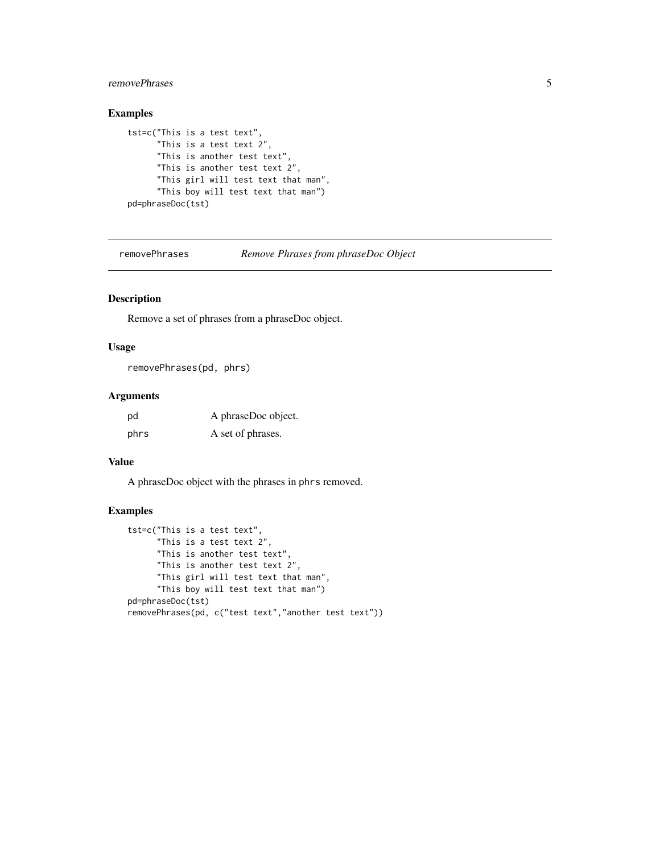#### <span id="page-4-0"></span>removePhrases 5

#### Examples

```
tst=c("This is a test text",
     "This is a test text 2",
     "This is another test text",
     "This is another test text 2",
     "This girl will test text that man",
     "This boy will test text that man")
pd=phraseDoc(tst)
```
removePhrases *Remove Phrases from phraseDoc Object*

#### Description

Remove a set of phrases from a phraseDoc object.

#### Usage

removePhrases(pd, phrs)

#### Arguments

| pd   | A phraseDoc object. |
|------|---------------------|
| phrs | A set of phrases.   |

#### Value

A phraseDoc object with the phrases in phrs removed.

#### Examples

```
tst=c("This is a test text",
     "This is a test text 2",
     "This is another test text",
     "This is another test text 2",
     "This girl will test text that man",
     "This boy will test text that man")
pd=phraseDoc(tst)
removePhrases(pd, c("test text","another test text"))
```